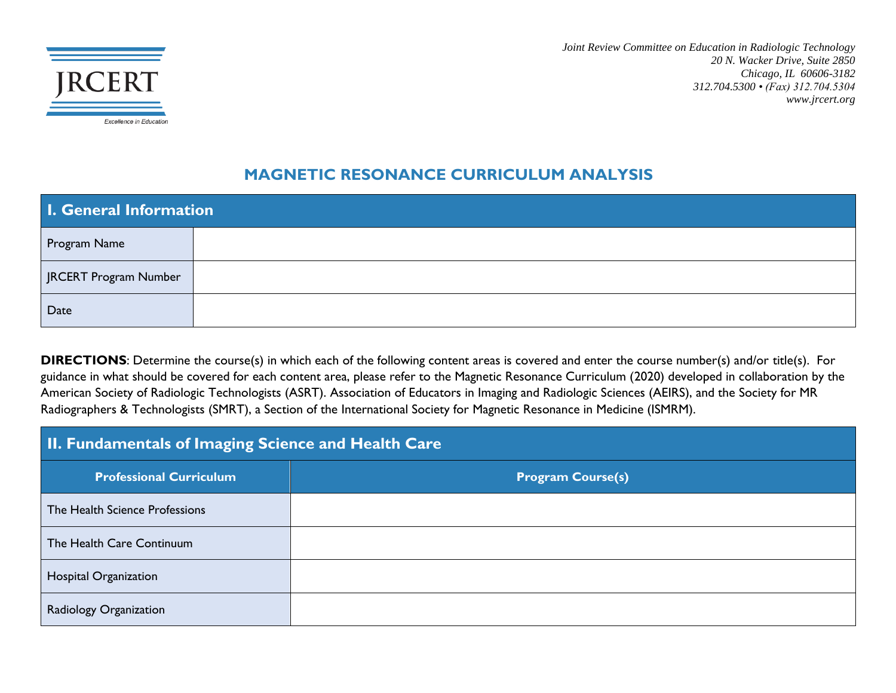

*Joint Review Committee on Education in Radiologic Technology 20 N. Wacker Drive, Suite 2850 Chicago, IL 60606-3182 312.704.5300 • (Fax) 312.704.5304 www.jrcert.org*

#### **MAGNETIC RESONANCE CURRICULUM ANALYSIS**

| I. General Information |  |
|------------------------|--|
| Program Name           |  |
| JRCERT Program Number  |  |
| Date                   |  |

**DIRECTIONS**: Determine the course(s) in which each of the following content areas is covered and enter the course number(s) and/or title(s). For guidance in what should be covered for each content area, please refer to the Magnetic Resonance Curriculum (2020) developed in collaboration by the American Society of Radiologic Technologists (ASRT). Association of Educators in Imaging and Radiologic Sciences (AEIRS), and the Society for MR Radiographers & Technologists (SMRT), a Section of the International Society for Magnetic Resonance in Medicine (ISMRM).

| <b>II. Fundamentals of Imaging Science and Health Care</b> |                          |
|------------------------------------------------------------|--------------------------|
| <b>Professional Curriculum</b>                             | <b>Program Course(s)</b> |
| The Health Science Professions                             |                          |
| The Health Care Continuum                                  |                          |
| Hospital Organization                                      |                          |
| Radiology Organization                                     |                          |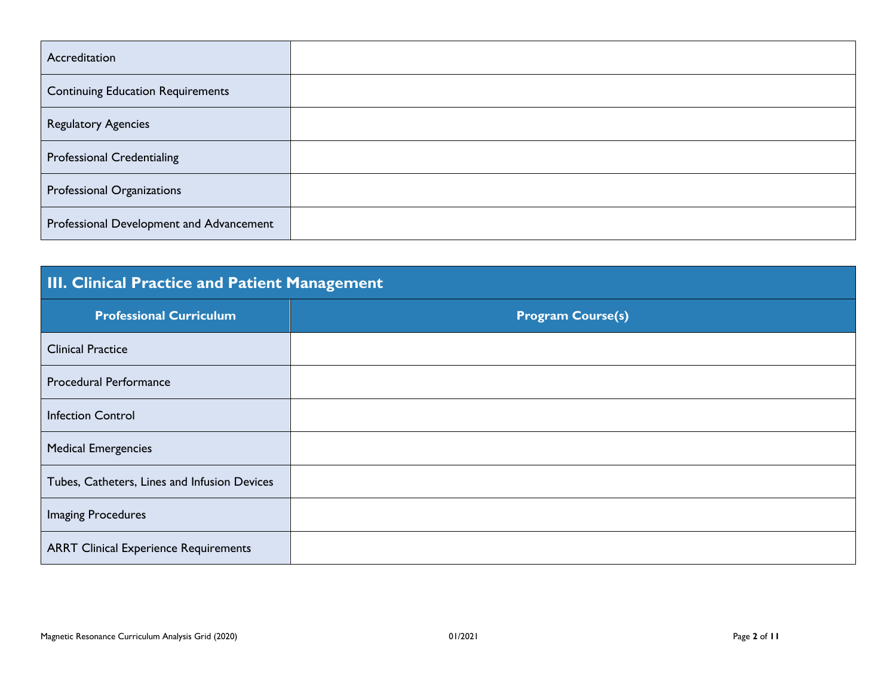| Accreditation                            |  |
|------------------------------------------|--|
| <b>Continuing Education Requirements</b> |  |
| Regulatory Agencies                      |  |
| <b>Professional Credentialing</b>        |  |
| Professional Organizations               |  |
| Professional Development and Advancement |  |

## **III. Clinical Practice and Patient Management**

| <b>Professional Curriculum</b>               | <b>Program Course(s)</b> |
|----------------------------------------------|--------------------------|
| <b>Clinical Practice</b>                     |                          |
| <b>Procedural Performance</b>                |                          |
| <b>Infection Control</b>                     |                          |
| <b>Medical Emergencies</b>                   |                          |
| Tubes, Catheters, Lines and Infusion Devices |                          |
| <b>Imaging Procedures</b>                    |                          |
| <b>ARRT Clinical Experience Requirements</b> |                          |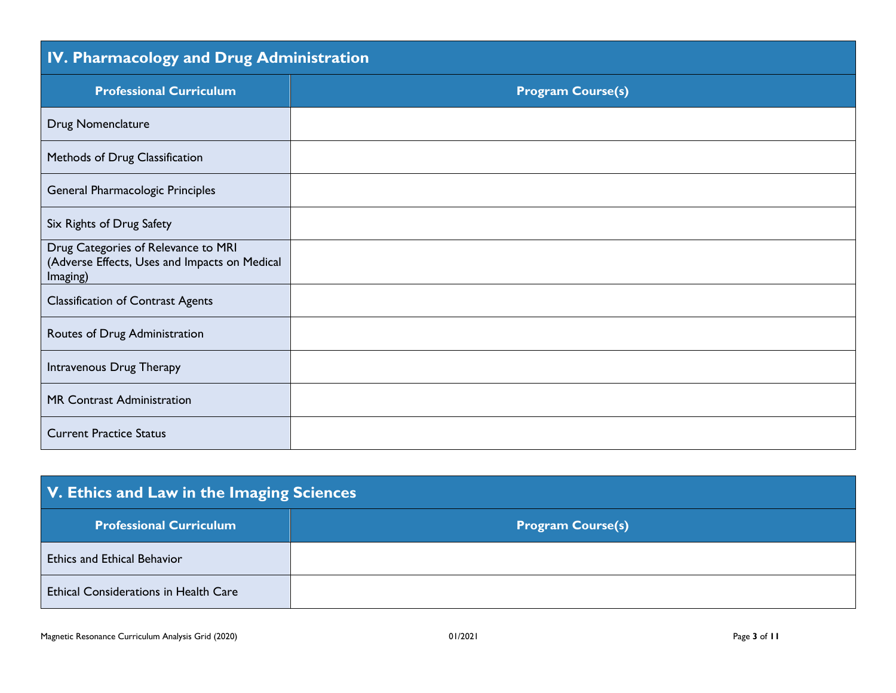| IV. Pharmacology and Drug Administration                                                         |                          |
|--------------------------------------------------------------------------------------------------|--------------------------|
| <b>Professional Curriculum</b>                                                                   | <b>Program Course(s)</b> |
| Drug Nomenclature                                                                                |                          |
| Methods of Drug Classification                                                                   |                          |
| General Pharmacologic Principles                                                                 |                          |
| Six Rights of Drug Safety                                                                        |                          |
| Drug Categories of Relevance to MRI<br>(Adverse Effects, Uses and Impacts on Medical<br>Imaging) |                          |
| <b>Classification of Contrast Agents</b>                                                         |                          |
| Routes of Drug Administration                                                                    |                          |
| Intravenous Drug Therapy                                                                         |                          |
| MR Contrast Administration                                                                       |                          |
| <b>Current Practice Status</b>                                                                   |                          |

| V. Ethics and Law in the Imaging Sciences    |                          |
|----------------------------------------------|--------------------------|
| <b>Professional Curriculum</b>               | <b>Program Course(s)</b> |
| <b>Ethics and Ethical Behavior</b>           |                          |
| <b>Ethical Considerations in Health Care</b> |                          |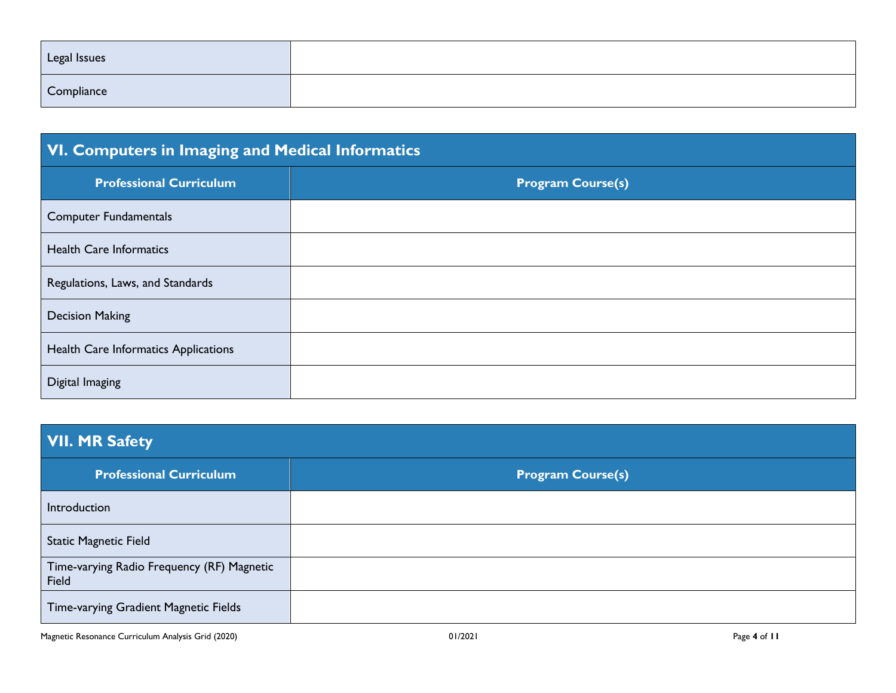| Legal Issues |  |
|--------------|--|
| Compliance   |  |

| VI. Computers in Imaging and Medical Informatics |                          |
|--------------------------------------------------|--------------------------|
| <b>Professional Curriculum</b>                   | <b>Program Course(s)</b> |
| <b>Computer Fundamentals</b>                     |                          |
| <b>Health Care Informatics</b>                   |                          |
| Regulations, Laws, and Standards                 |                          |
| <b>Decision Making</b>                           |                          |
| Health Care Informatics Applications             |                          |
| Digital Imaging                                  |                          |

# **VII. MR Safety**

| <b>Professional Curriculum</b>                      | <b>Program Course(s)</b> |
|-----------------------------------------------------|--------------------------|
| Introduction                                        |                          |
| <b>Static Magnetic Field</b>                        |                          |
| Time-varying Radio Frequency (RF) Magnetic<br>Field |                          |
| Time-varying Gradient Magnetic Fields               |                          |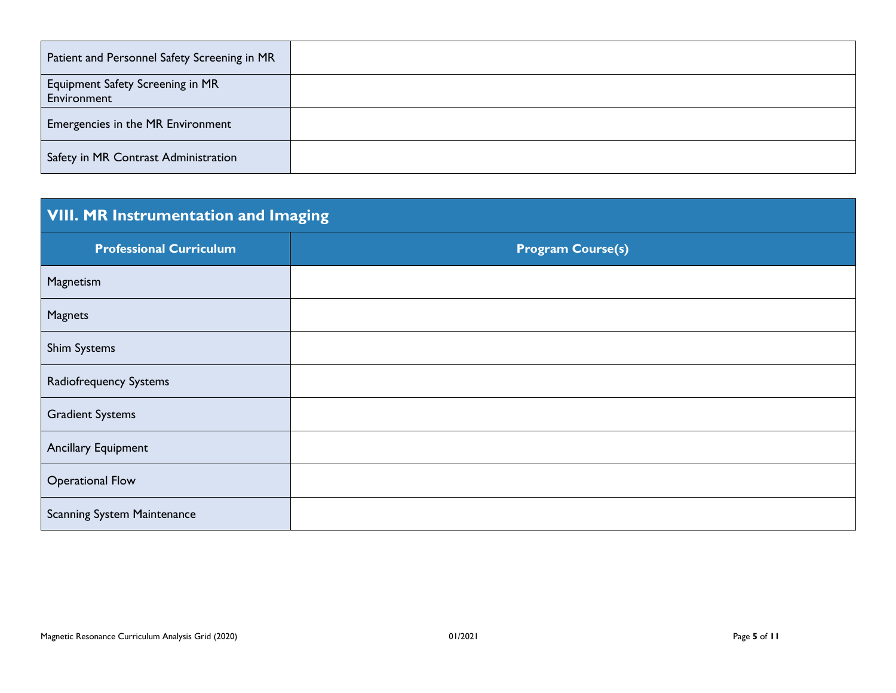| Patient and Personnel Safety Screening in MR           |  |
|--------------------------------------------------------|--|
| <b>Equipment Safety Screening in MR</b><br>Environment |  |
| Emergencies in the MR Environment                      |  |
| Safety in MR Contrast Administration                   |  |

# **VIII. MR Instrumentation and Imaging**

| <b>Professional Curriculum</b>     | <b>Program Course(s)</b> |
|------------------------------------|--------------------------|
| Magnetism                          |                          |
| Magnets                            |                          |
| <b>Shim Systems</b>                |                          |
| Radiofrequency Systems             |                          |
| <b>Gradient Systems</b>            |                          |
| <b>Ancillary Equipment</b>         |                          |
| <b>Operational Flow</b>            |                          |
| <b>Scanning System Maintenance</b> |                          |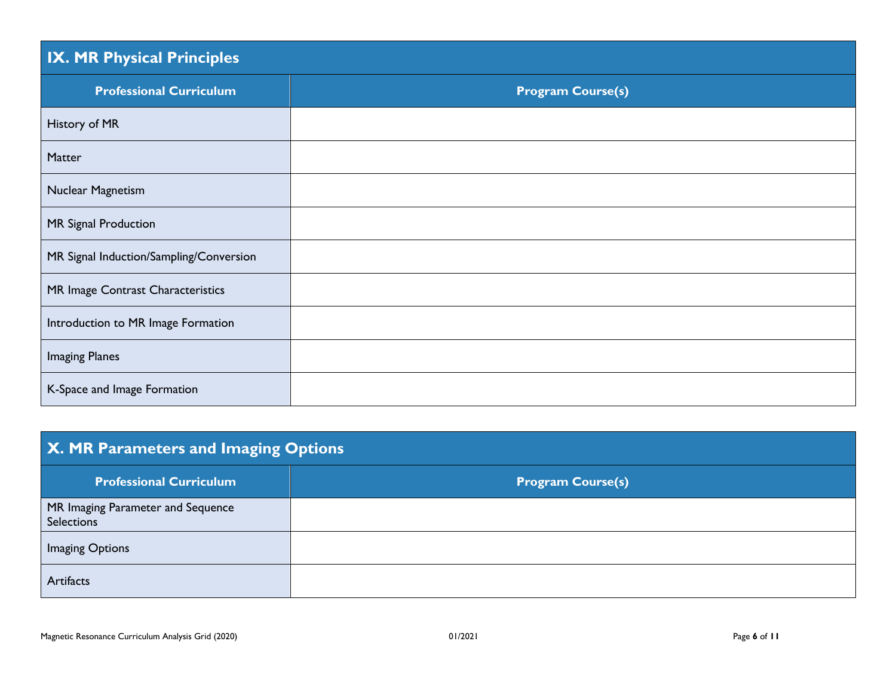### **IX. MR Physical Principles**

| the contract of the contract of the contract of the contract of the contract of the contract of the contract of |                          |
|-----------------------------------------------------------------------------------------------------------------|--------------------------|
| <b>Professional Curriculum</b>                                                                                  | <b>Program Course(s)</b> |
| History of MR                                                                                                   |                          |
| Matter                                                                                                          |                          |
| Nuclear Magnetism                                                                                               |                          |
| MR Signal Production                                                                                            |                          |
| MR Signal Induction/Sampling/Conversion                                                                         |                          |
| MR Image Contrast Characteristics                                                                               |                          |
| Introduction to MR Image Formation                                                                              |                          |
| <b>Imaging Planes</b>                                                                                           |                          |
| K-Space and Image Formation                                                                                     |                          |

## **X. MR Parameters and Imaging Options**

| <b>Professional Curriculum</b>                  | <b>Program Course(s)</b> |
|-------------------------------------------------|--------------------------|
| MR Imaging Parameter and Sequence<br>Selections |                          |
| Imaging Options                                 |                          |
| Artifacts                                       |                          |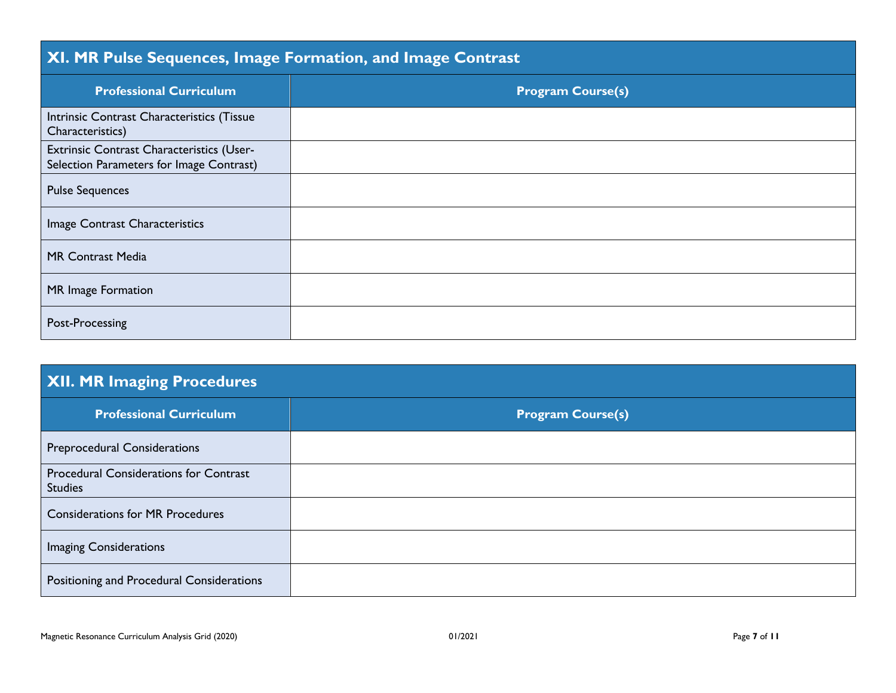# **XI. MR Pulse Sequences, Image Formation, and Image Contrast**

| <b>Professional Curriculum</b>                                                        | <b>Program Course(s)</b> |
|---------------------------------------------------------------------------------------|--------------------------|
| Intrinsic Contrast Characteristics (Tissue<br>Characteristics)                        |                          |
| Extrinsic Contrast Characteristics (User-<br>Selection Parameters for Image Contrast) |                          |
| <b>Pulse Sequences</b>                                                                |                          |
| Image Contrast Characteristics                                                        |                          |
| <b>MR Contrast Media</b>                                                              |                          |
| MR Image Formation                                                                    |                          |
| Post-Processing                                                                       |                          |

| <b>XII. MR Imaging Procedures</b>                               |                          |
|-----------------------------------------------------------------|--------------------------|
| <b>Professional Curriculum</b>                                  | <b>Program Course(s)</b> |
| <b>Preprocedural Considerations</b>                             |                          |
| <b>Procedural Considerations for Contrast</b><br><b>Studies</b> |                          |
| <b>Considerations for MR Procedures</b>                         |                          |
| <b>Imaging Considerations</b>                                   |                          |
| Positioning and Procedural Considerations                       |                          |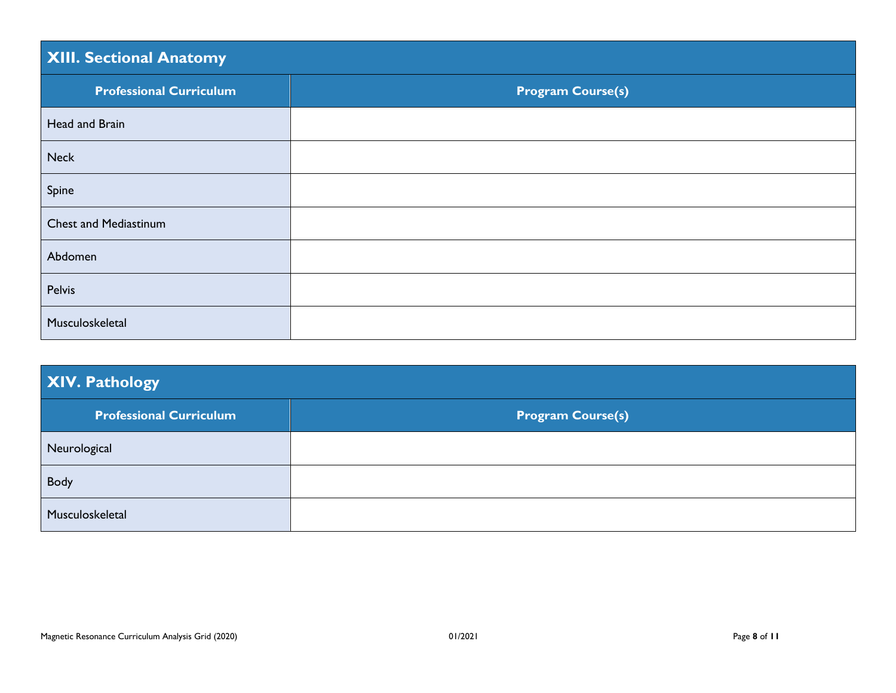## **XIII. Sectional Anatomy**

| <b>Professional Curriculum</b> | <b>Program Course(s)</b> |
|--------------------------------|--------------------------|
| Head and Brain                 |                          |
| <b>Neck</b>                    |                          |
| Spine                          |                          |
| <b>Chest and Mediastinum</b>   |                          |
| Abdomen                        |                          |
| Pelvis                         |                          |
| Musculoskeletal                |                          |

| XIV. Pathology                 |                          |
|--------------------------------|--------------------------|
| <b>Professional Curriculum</b> | <b>Program Course(s)</b> |
| Neurological                   |                          |
| Body                           |                          |
| Musculoskeletal                |                          |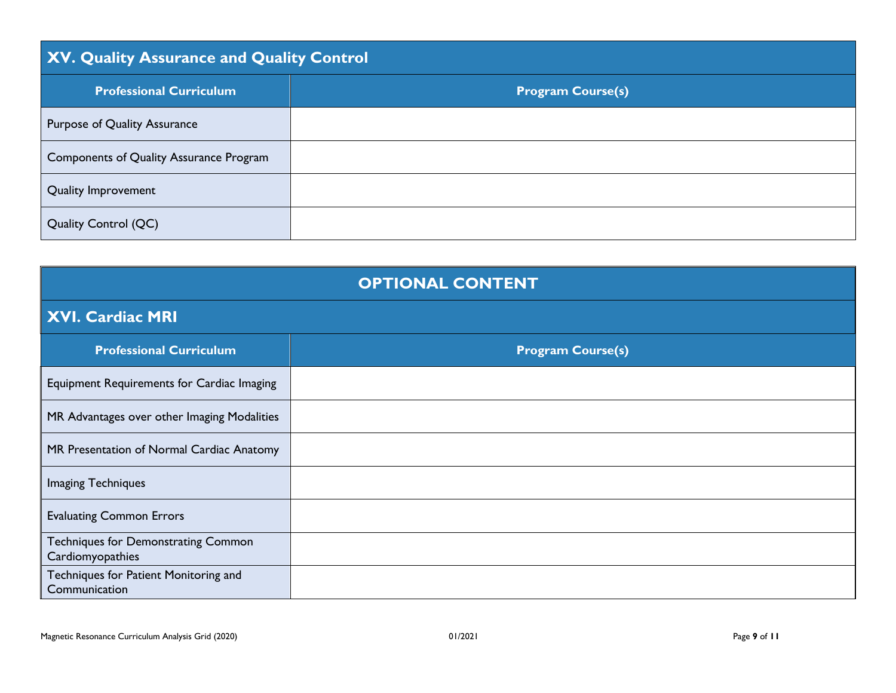| XV. Quality Assurance and Quality Control |                          |
|-------------------------------------------|--------------------------|
| <b>Professional Curriculum</b>            | <b>Program Course(s)</b> |
| Purpose of Quality Assurance              |                          |
| Components of Quality Assurance Program   |                          |
| Quality Improvement                       |                          |
| <b>Quality Control (QC)</b>               |                          |

| <b>OPTIONAL CONTENT</b>                                 |                          |
|---------------------------------------------------------|--------------------------|
| XVI. Cardiac MRI                                        |                          |
| <b>Professional Curriculum</b>                          | <b>Program Course(s)</b> |
| Equipment Requirements for Cardiac Imaging              |                          |
| MR Advantages over other Imaging Modalities             |                          |
| MR Presentation of Normal Cardiac Anatomy               |                          |
| <b>Imaging Techniques</b>                               |                          |
| <b>Evaluating Common Errors</b>                         |                          |
| Techniques for Demonstrating Common<br>Cardiomyopathies |                          |
| Techniques for Patient Monitoring and<br>Communication  |                          |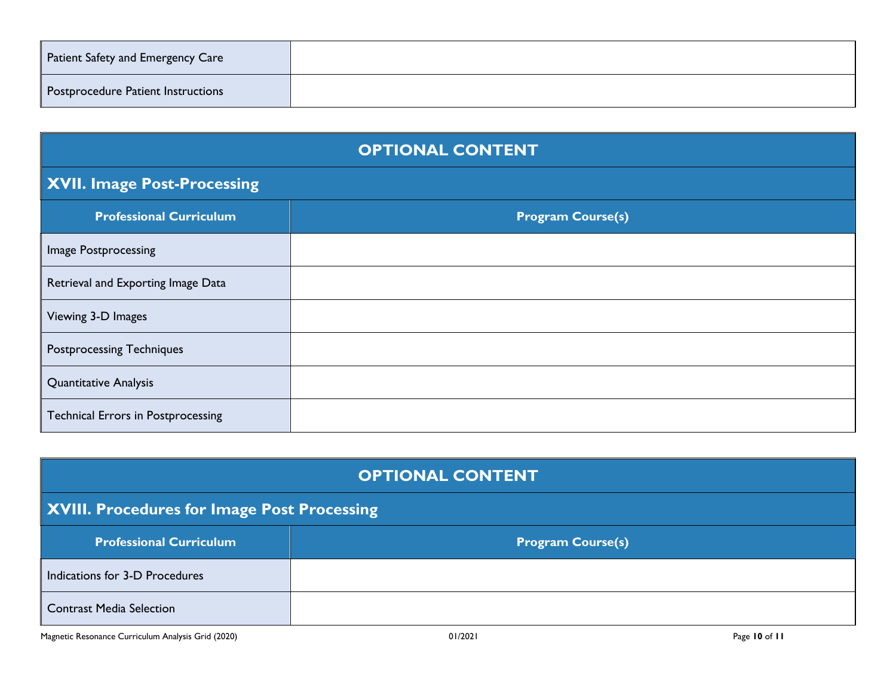| <b>Patient Safety and Emergency Care</b> |  |
|------------------------------------------|--|
| Postprocedure Patient Instructions       |  |

| <b>OPTIONAL CONTENT</b>                   |                          |
|-------------------------------------------|--------------------------|
| XVII. Image Post-Processing               |                          |
| <b>Professional Curriculum</b>            | <b>Program Course(s)</b> |
| Image Postprocessing                      |                          |
| Retrieval and Exporting Image Data        |                          |
| Viewing 3-D Images                        |                          |
| <b>Postprocessing Techniques</b>          |                          |
| <b>Quantitative Analysis</b>              |                          |
| <b>Technical Errors in Postprocessing</b> |                          |

| <b>OPTIONAL CONTENT</b>                     |                          |
|---------------------------------------------|--------------------------|
| XVIII. Procedures for Image Post Processing |                          |
| <b>Professional Curriculum</b>              | <b>Program Course(s)</b> |
| Indications for 3-D Procedures              |                          |
| <b>Contrast Media Selection</b>             |                          |